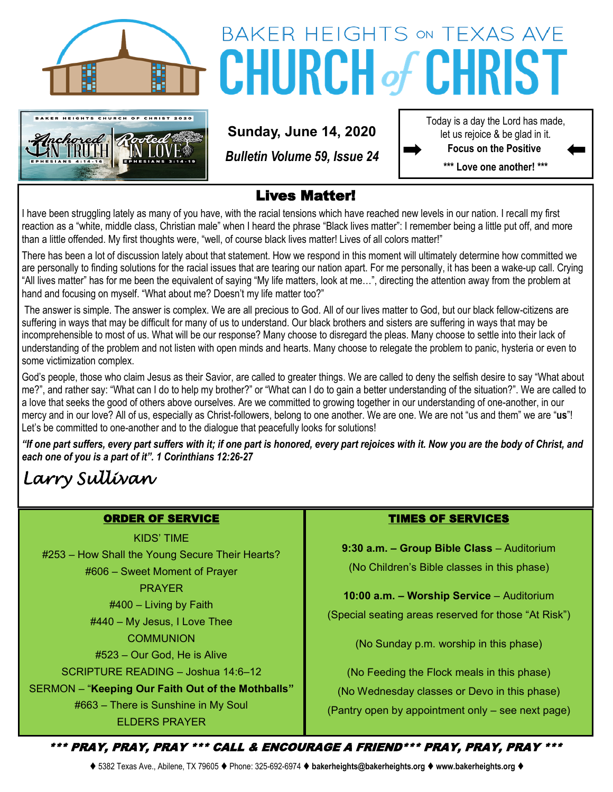



# **BAKER HEIGHTS ON TEXAS AVE CHURCH of CHRIST**

**Sunday, June 14, 2020**

*Bulletin Volume 59, Issue 24*

Today is a day the Lord has made, let us rejoice & be glad in it. **Focus on the Positive** 

**\*\*\* Love one another! \*\*\***

### Lives Matter!

I have been struggling lately as many of you have, with the racial tensions which have reached new levels in our nation. I recall my first reaction as a "white, middle class, Christian male" when I heard the phrase "Black lives matter": I remember being a little put off, and more than a little offended. My first thoughts were, "well, of course black lives matter! Lives of all colors matter!"

There has been a lot of discussion lately about that statement. How we respond in this moment will ultimately determine how committed we are personally to finding solutions for the racial issues that are tearing our nation apart. For me personally, it has been a wake-up call. Crying "All lives matter" has for me been the equivalent of saying "My life matters, look at me…", directing the attention away from the problem at hand and focusing on myself. "What about me? Doesn't my life matter too?"

The answer is simple. The answer is complex. We are all precious to God. All of our lives matter to God, but our black fellow-citizens are suffering in ways that may be difficult for many of us to understand. Our black brothers and sisters are suffering in ways that may be incomprehensible to most of us. What will be our response? Many choose to disregard the pleas. Many choose to settle into their lack of understanding of the problem and not listen with open minds and hearts. Many choose to relegate the problem to panic, hysteria or even to some victimization complex.

God's people, those who claim Jesus as their Savior, are called to greater things. We are called to deny the selfish desire to say "What about me?", and rather say: "What can I do to help my brother?" or "What can I do to gain a better understanding of the situation?". We are called to a love that seeks the good of others above ourselves. Are we committed to growing together in our understanding of one-another, in our mercy and in our love? All of us, especially as Christ-followers, belong to one another. We are one. We are not "us and them" we are "**us**"! Let's be committed to one-another and to the dialogue that peacefully looks for solutions!

*"If one part suffers, every part suffers with it; if one part is honored, every part rejoices with it. Now you are the body of Christ, and each one of you is a part of it". 1 Corinthians 12:26-27*

# *Larry Sullivan*

#### ORDER OF SERVICE

KIDS' TIME

#253 – How Shall the Young Secure Their Hearts? #606 – Sweet Moment of Prayer PRAYER

#400 – Living by Faith

#440 – My Jesus, I Love Thee **COMMUNION** 

#523 – Our God, He is Alive

SCRIPTURE READING – Joshua 14:6–12

SERMON – "**Keeping Our Faith Out of the Mothballs"**

#663 – There is Sunshine in My Soul ELDERS PRAYER

#### TIMES OF SERVICES

**9:30 a.m. – Group Bible Class** – Auditorium (No Children's Bible classes in this phase)

**10:00 a.m. – Worship Service** – Auditorium (Special seating areas reserved for those "At Risk")

(No Sunday p.m. worship in this phase)

(No Feeding the Flock meals in this phase) (No Wednesday classes or Devo in this phase) (Pantry open by appointment only – see next page)

\*\*\* PRAY, PRAY, PRAY \*\*\* CALL & ENCOURAGE A FRIEND\*\*\* PRAY, PRAY, PRAY \*\*\*

⧫ 5382 Texas Ave., Abilene, TX 79605 ⧫ Phone: 325-692-6974 ⧫ **bakerheights@bakerheights.org** ⧫ **www.bakerheights.org** ⧫